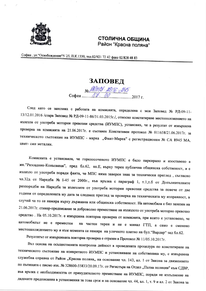

## СТОЛИЧНА ОБЩИНА Район "Красна поляна"

София, ул. "Освобождение" N 25, П.К.1330, тел.02/921 72 42 факс 02/828 48 83

## ЗАПОВЕД

No PROMA - 125 - 245 София.

След като се запознах с работата на комисията, определена с моя Заповед № РД-09-11-13/12.01.2016 /стара Заповед № РД-09-11-86/31.03.2015г./, относно констатиране местоположението на излезли от употреба моторни превозни средства (ИУМПС), установих, че в резултат от извършена проверка на комисията на 21.06.2017г. е съставен Констативен протокол № 011658/21.06.2017г. за техническото състояние на ИУМПС - марка "Фиат-Мареа" с регистрационен № СА 8945 МА, цвят-син металик.

Комисията е установила, че горепосоченото ИУМПС е било паркирано и изоставено в жк. "Разсадник-Коньовица", пред бл.62, вх.Е, върху терен публична общинска собственост, и е излязло от употреба поради факта, че МПС няма заверен знак за технически преглед, съгласно чл.32д от Наредба № 1-45 от 2000г., във връзка с параграф 1, т.1,т.б от Допълнителните разпоредби на Наредба за излезлите от употреба моторни превозни средства за повече от две години от определената му дата за следващ преглед за проверка на техническата му изправност, в случай че то се намира върху държавна или общинска собственост. На автомобила е бил залепен на 21.06.2017г. стикер-предписание за доброволно преместване на излязлото от употреба моторно превозно средство. На 05.10.2017г. е извършена повторна проверка от комисията, при която е установено, че автомобильт не е преместен на частен терен и не е минал ГТП, а само е сменено местонахождението му и към момента се намира на уличното платно на бул. "Вардар" зад бл.62.

Резулгатът от извършената повторна проверка е отразен в Протокол № 11/05.10.2017г.

Въз основа на осъществената контролна дейност в проведената процедура по констатиране на техническото състояние на конкретното ИУМПС и установяване на собственика му, е извършена служебна справка от Район "Красна поляна,, на основание чл. 143, ал. 1 от Закона за движението по пътищата с писмо изх. № 328600-55833/20.09.17г. от Регистъра на Отдел "Пътна полиция" към СДВР, във връзка с необходимостта от принудителното преместване на ИУМПС, поради не изпълнение на дадените предписания в установения за това срок и на основание чл. 44, ал. 1, т. 9 и ал. 2 от Закона за